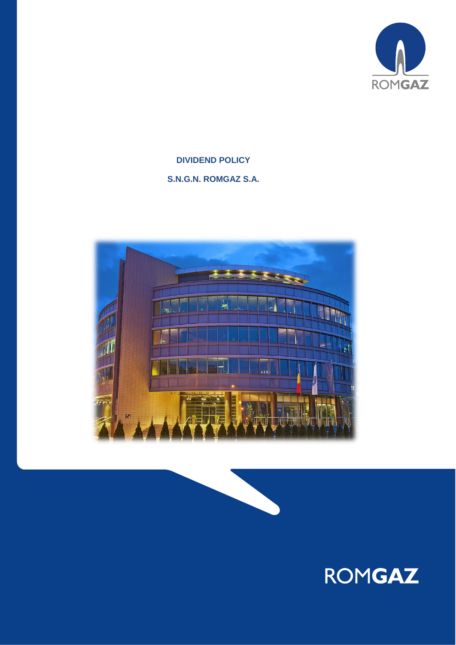

**DIVIDEND POLICY S.N.G.N. ROMGAZ S.A.**





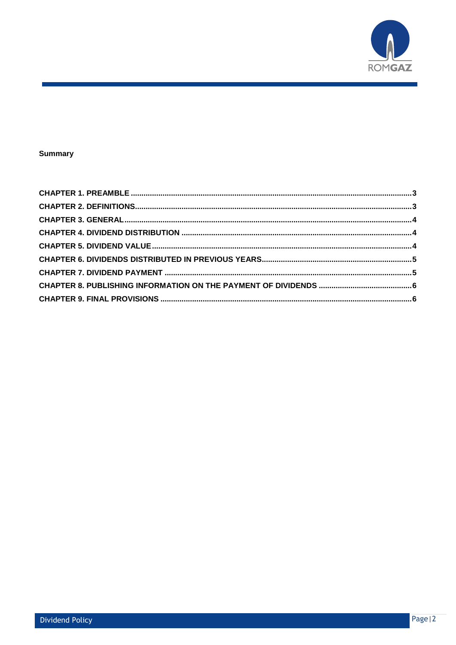

## **Summary**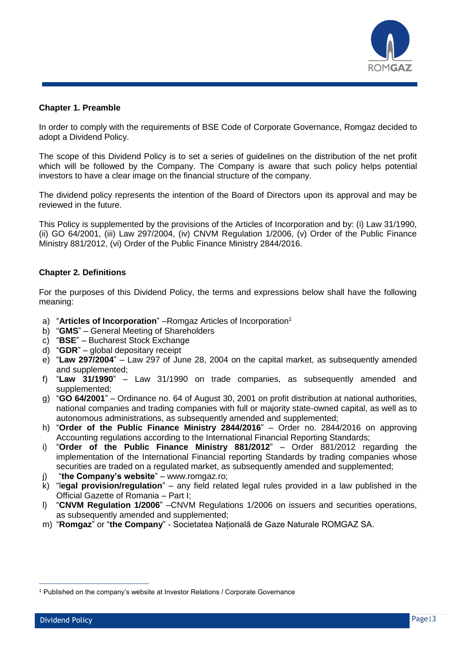

## <span id="page-2-0"></span>**Chapter 1. Preamble**

In order to comply with the requirements of BSE Code of Corporate Governance, Romgaz decided to adopt a Dividend Policy.

The scope of this Dividend Policy is to set a series of guidelines on the distribution of the net profit which will be followed by the Company. The Company is aware that such policy helps potential investors to have a clear image on the financial structure of the company.

The dividend policy represents the intention of the Board of Directors upon its approval and may be reviewed in the future.

This Policy is supplemented by the provisions of the Articles of Incorporation and by: (i) Law 31/1990, (ii) GO 64/2001, (iii) Law 297/2004, (iv) CNVM Regulation 1/2006, (v) Order of the Public Finance Ministry 881/2012, (vi) Order of the Public Finance Ministry 2844/2016.

#### <span id="page-2-1"></span>**Chapter 2. Definitions**

For the purposes of this Dividend Policy, the terms and expressions below shall have the following meaning:

- a) **"Articles of Incorporation"** –Romgaz Articles of Incorporation<sup>1</sup>
- b) "**GMS**" General Meeting of Shareholders
- c) "**BSE**" Bucharest Stock Exchange
- d) "**GDR**" global depositary receipt
- e) "**Law 297/2004**" Law 297 of June 28, 2004 on the capital market, as subsequently amended and supplemented;
- f) "**Law 31/1990**" Law 31/1990 on trade companies, as subsequently amended and supplemented;
- g) "**GO 64/2001**" Ordinance no. 64 of August 30, 2001 on profit distribution at national authorities, national companies and trading companies with full or majority state-owned capital, as well as to autonomous administrations, as subsequently amended and supplemented;
- h) "**Order of the Public Finance Ministry 2844/2016**" Order no. 2844/2016 on approving Accounting regulations according to the International Financial Reporting Standards;
- i) "**Order of the Public Finance Ministry 881/2012**" Order 881/2012 regarding the implementation of the International Financial reporting Standards by trading companies whose securities are traded on a regulated market, as subsequently amended and supplemented;
- "the Company's website" www.romgaz.ro;
- k) "l**egal provision/regulation**" any field related legal rules provided in a law published in the Official Gazette of Romania – Part I;
- l) "**CNVM Regulation 1/2006**" –CNVM Regulations 1/2006 on issuers and securities operations, as subsequently amended and supplemented;
- m) "**Romgaz**" or "**the Company**" Societatea Națională de Gaze Naturale ROMGAZ SA.

<sup>1</sup> Published on the company's website at Investor Relations / Corporate Governance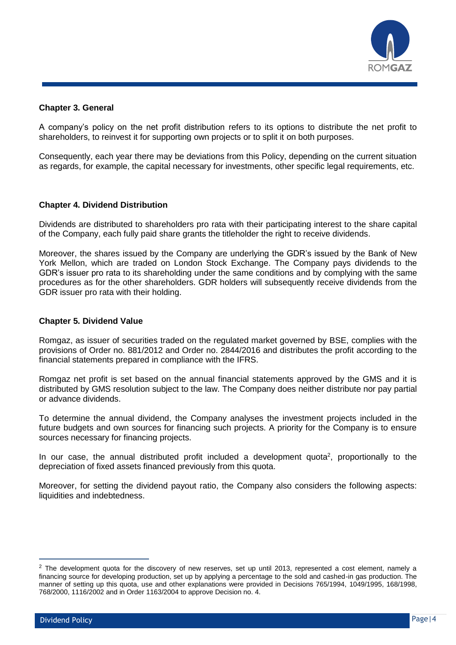

#### <span id="page-3-0"></span>**Chapter 3. General**

A company's policy on the net profit distribution refers to its options to distribute the net profit to shareholders, to reinvest it for supporting own projects or to split it on both purposes.

Consequently, each year there may be deviations from this Policy, depending on the current situation as regards, for example, the capital necessary for investments, other specific legal requirements, etc.

#### <span id="page-3-1"></span>**Chapter 4. Dividend Distribution**

Dividends are distributed to shareholders pro rata with their participating interest to the share capital of the Company, each fully paid share grants the titleholder the right to receive dividends.

Moreover, the shares issued by the Company are underlying the GDR's issued by the Bank of New York Mellon, which are traded on London Stock Exchange. The Company pays dividends to the GDR's issuer pro rata to its shareholding under the same conditions and by complying with the same procedures as for the other shareholders. GDR holders will subsequently receive dividends from the GDR issuer pro rata with their holding.

#### <span id="page-3-2"></span>**Chapter 5. Dividend Value**

Romgaz, as issuer of securities traded on the regulated market governed by BSE, complies with the provisions of Order no. 881/2012 and Order no. 2844/2016 and distributes the profit according to the financial statements prepared in compliance with the IFRS.

Romgaz net profit is set based on the annual financial statements approved by the GMS and it is distributed by GMS resolution subject to the law. The Company does neither distribute nor pay partial or advance dividends.

To determine the annual dividend, the Company analyses the investment projects included in the future budgets and own sources for financing such projects. A priority for the Company is to ensure sources necessary for financing projects.

In our case, the annual distributed profit included a development quota<sup>2</sup>, proportionally to the depreciation of fixed assets financed previously from this quota.

Moreover, for setting the dividend payout ratio, the Company also considers the following aspects: liquidities and indebtedness.

 $2$  The development quota for the discovery of new reserves, set up until 2013, represented a cost element, namely a financing source for developing production, set up by applying a percentage to the sold and cashed-in gas production. The manner of setting up this quota, use and other explanations were provided in Decisions 765/1994, 1049/1995, 168/1998, 768/2000, 1116/2002 and in Order 1163/2004 to approve Decision no. 4.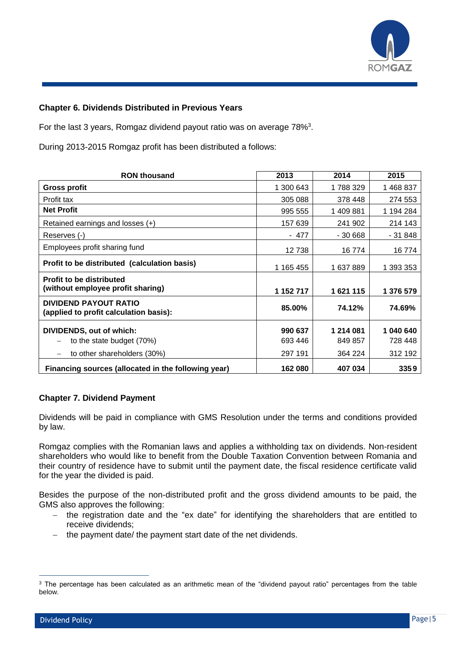

# <span id="page-4-0"></span>**Chapter 6. Dividends Distributed in Previous Years**

For the last 3 years, Romgaz dividend payout ratio was on average  $78\%$ <sup>3</sup>.

During 2013-2015 Romgaz profit has been distributed a follows:

| <b>RON thousand</b>                                                    | 2013      | 2014      | 2015      |
|------------------------------------------------------------------------|-----------|-----------|-----------|
| <b>Gross profit</b>                                                    | 1 300 643 | 1788329   | 1468837   |
| Profit tax                                                             | 305 088   | 378 448   | 274 553   |
| <b>Net Profit</b>                                                      | 995 555   | 1 409 881 | 1 194 284 |
| Retained earnings and losses (+)                                       | 157 639   | 241 902   | 214 143   |
| Reserves (-)                                                           | - 477     | $-30668$  | - 31 848  |
| Employees profit sharing fund                                          | 12738     | 16774     | 16774     |
| Profit to be distributed (calculation basis)                           | 1 165 455 | 1637889   | 1 393 353 |
| <b>Profit to be distributed</b><br>(without employee profit sharing)   | 1 152 717 | 1621115   | 1 376 579 |
| <b>DIVIDEND PAYOUT RATIO</b><br>(applied to profit calculation basis): | 85.00%    | 74.12%    | 74.69%    |
| DIVIDENDS, out of which:                                               | 990 637   | 1 214 081 | 1 040 640 |
| to the state budget (70%)                                              | 693 446   | 849 857   | 728 448   |
| to other shareholders (30%)                                            | 297 191   | 364 224   | 312 192   |
| Financing sources (allocated in the following year)                    | 162 080   | 407 034   | 3359      |

# <span id="page-4-1"></span>**Chapter 7. Dividend Payment**

Dividends will be paid in compliance with GMS Resolution under the terms and conditions provided by law.

Romgaz complies with the Romanian laws and applies a withholding tax on dividends. Non-resident shareholders who would like to benefit from the Double Taxation Convention between Romania and their country of residence have to submit until the payment date, the fiscal residence certificate valid for the year the divided is paid.

Besides the purpose of the non-distributed profit and the gross dividend amounts to be paid, the GMS also approves the following:

- the registration date and the "ex date" for identifying the shareholders that are entitled to receive dividends;
- $-$  the payment date/ the payment start date of the net dividends.

<sup>&</sup>lt;sup>3</sup> The percentage has been calculated as an arithmetic mean of the "dividend payout ratio" percentages from the table below.